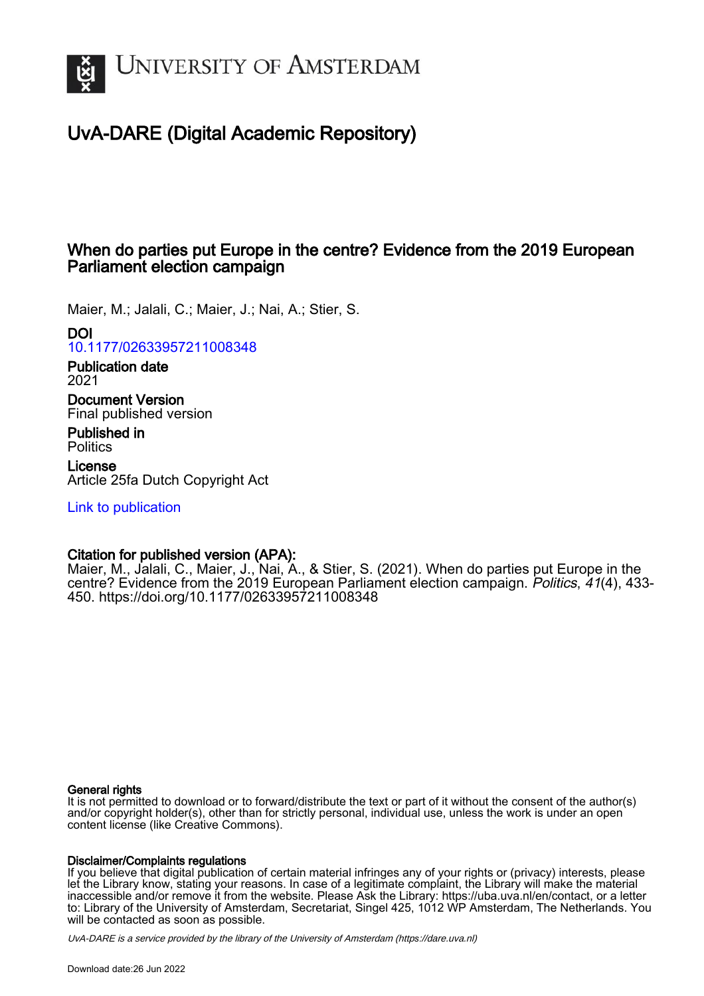

# UvA-DARE (Digital Academic Repository)

## When do parties put Europe in the centre? Evidence from the 2019 European Parliament election campaign

Maier, M.; Jalali, C.; Maier, J.; Nai, A.; Stier, S.

DOI

[10.1177/02633957211008348](https://doi.org/10.1177/02633957211008348)

Publication date 2021

Document Version Final published version

Published in **Politics** 

License Article 25fa Dutch Copyright Act

[Link to publication](https://dare.uva.nl/personal/pure/en/publications/when-do-parties-put-europe-in-the-centre-evidence-from-the-2019-european-parliament-election-campaign(3d1bf6a2-54a1-4fe9-8365-1abde2906eb9).html)

## Citation for published version (APA):

Maier, M., Jalali, C., Maier, J., Nai, A., & Stier, S. (2021). When do parties put Europe in the centre? Evidence from the 2019 European Parliament election campaign. Politics, 41(4), 433- 450. <https://doi.org/10.1177/02633957211008348>

## General rights

It is not permitted to download or to forward/distribute the text or part of it without the consent of the author(s) and/or copyright holder(s), other than for strictly personal, individual use, unless the work is under an open content license (like Creative Commons).

## Disclaimer/Complaints regulations

If you believe that digital publication of certain material infringes any of your rights or (privacy) interests, please let the Library know, stating your reasons. In case of a legitimate complaint, the Library will make the material inaccessible and/or remove it from the website. Please Ask the Library: https://uba.uva.nl/en/contact, or a letter to: Library of the University of Amsterdam, Secretariat, Singel 425, 1012 WP Amsterdam, The Netherlands. You will be contacted as soon as possible.

UvA-DARE is a service provided by the library of the University of Amsterdam (http*s*://dare.uva.nl)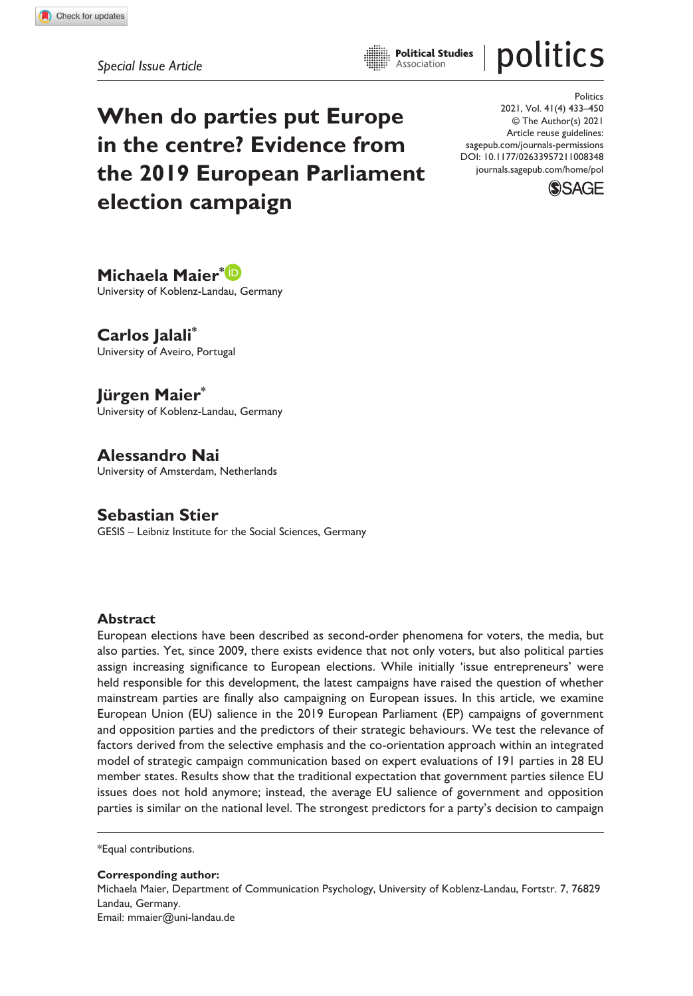politics

**When do parties put Europe in the centre? Evidence from the 2019 European Parliament election campaign**

DOI: 10.1177/02633957211008348 **Politics** 2021, Vol. 41(4) 433–450 © The Author(s) 2021 Article reuse guidelines: [sagepub.com/journals-permissions](https://uk.sagepub.com/en-gb/journals-permissions) [journals.sagepub.com/home/pol](https://journals.sagepub.com/home/pol)



**Michaela Maier\*** University of Koblenz-Landau, Germany

**Carlos Jalali\*** University of Aveiro, Portugal

**Jürgen Maier\*** University of Koblenz-Landau, Germany

**Alessandro Nai** University of Amsterdam, Netherlands

**Sebastian Stier** GESIS – Leibniz Institute for the Social Sciences, Germany

#### **Abstract**

European elections have been described as second-order phenomena for voters, the media, but also parties. Yet, since 2009, there exists evidence that not only voters, but also political parties assign increasing significance to European elections. While initially 'issue entrepreneurs' were held responsible for this development, the latest campaigns have raised the question of whether mainstream parties are finally also campaigning on European issues. In this article, we examine European Union (EU) salience in the 2019 European Parliament (EP) campaigns of government and opposition parties and the predictors of their strategic behaviours. We test the relevance of factors derived from the selective emphasis and the co-orientation approach within an integrated model of strategic campaign communication based on expert evaluations of 191 parties in 28 EU member states. Results show that the traditional expectation that government parties silence EU issues does not hold anymore; instead, the average EU salience of government and opposition parties is similar on the national level. The strongest predictors for a party's decision to campaign

\*Equal contributions.

**Corresponding author:** Michaela Maier, Department of Communication Psychology, University of Koblenz-Landau, Fortstr. 7, 76829 Landau, Germany. Email: [mmaier@uni-landau.de](mailto:mmaier@uni-landau.de)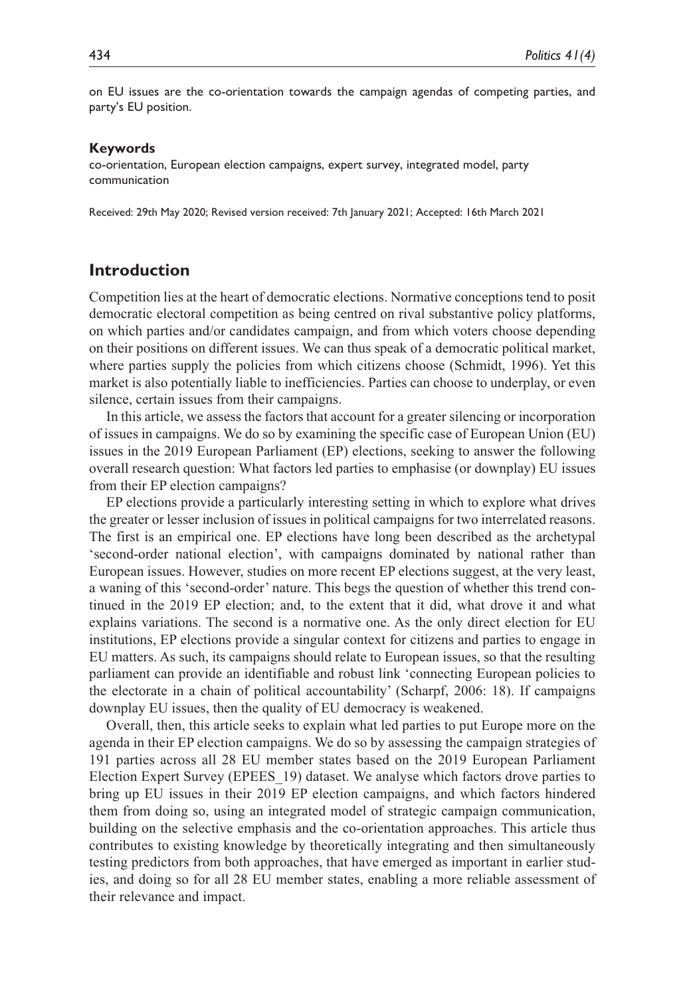on EU issues are the co-orientation towards the campaign agendas of competing parties, and party's EU position.

#### **Keywords**

co-orientation, European election campaigns, expert survey, integrated model, party communication

Received: 29th May 2020; Revised version received: 7th January 2021; Accepted: 16th March 2021

## **Introduction**

Competition lies at the heart of democratic elections. Normative conceptions tend to posit democratic electoral competition as being centred on rival substantive policy platforms, on which parties and/or candidates campaign, and from which voters choose depending on their positions on different issues. We can thus speak of a democratic political market, where parties supply the policies from which citizens choose (Schmidt, 1996). Yet this market is also potentially liable to inefficiencies. Parties can choose to underplay, or even silence, certain issues from their campaigns.

In this article, we assess the factors that account for a greater silencing or incorporation of issues in campaigns. We do so by examining the specific case of European Union (EU) issues in the 2019 European Parliament (EP) elections, seeking to answer the following overall research question: What factors led parties to emphasise (or downplay) EU issues from their EP election campaigns?

EP elections provide a particularly interesting setting in which to explore what drives the greater or lesser inclusion of issues in political campaigns for two interrelated reasons. The first is an empirical one. EP elections have long been described as the archetypal 'second-order national election', with campaigns dominated by national rather than European issues. However, studies on more recent EP elections suggest, at the very least, a waning of this 'second-order' nature. This begs the question of whether this trend continued in the 2019 EP election; and, to the extent that it did, what drove it and what explains variations. The second is a normative one. As the only direct election for EU institutions, EP elections provide a singular context for citizens and parties to engage in EU matters. As such, its campaigns should relate to European issues, so that the resulting parliament can provide an identifiable and robust link 'connecting European policies to the electorate in a chain of political accountability' (Scharpf, 2006: 18). If campaigns downplay EU issues, then the quality of EU democracy is weakened.

Overall, then, this article seeks to explain what led parties to put Europe more on the agenda in their EP election campaigns. We do so by assessing the campaign strategies of 191 parties across all 28 EU member states based on the 2019 European Parliament Election Expert Survey (EPEES\_19) dataset. We analyse which factors drove parties to bring up EU issues in their 2019 EP election campaigns, and which factors hindered them from doing so, using an integrated model of strategic campaign communication, building on the selective emphasis and the co-orientation approaches. This article thus contributes to existing knowledge by theoretically integrating and then simultaneously testing predictors from both approaches, that have emerged as important in earlier studies, and doing so for all 28 EU member states, enabling a more reliable assessment of their relevance and impact.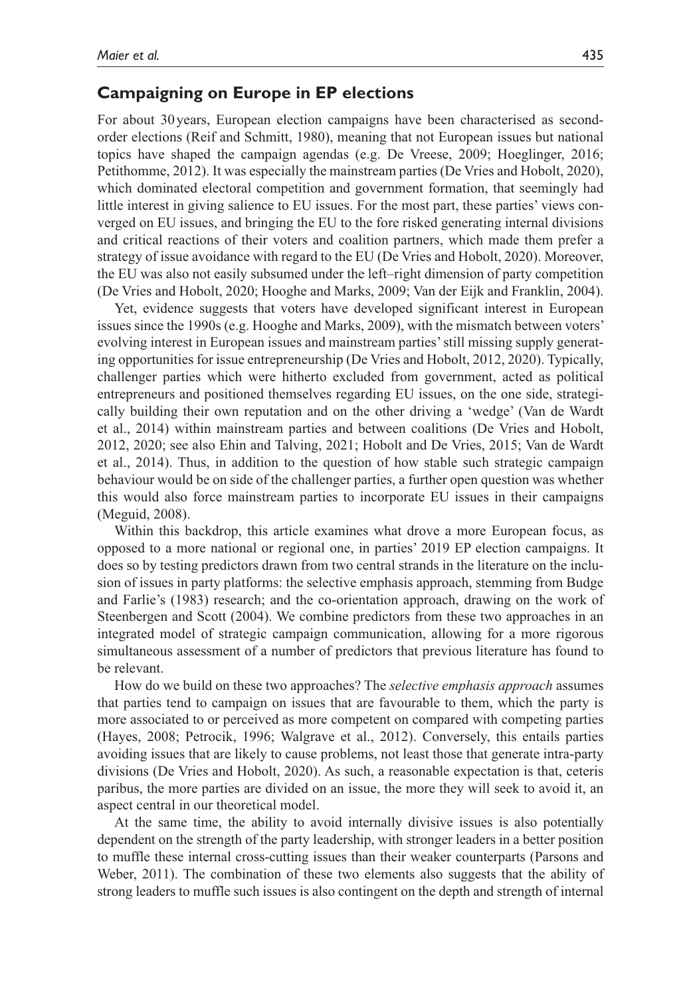#### **Campaigning on Europe in EP elections**

For about 30years, European election campaigns have been characterised as secondorder elections (Reif and Schmitt, 1980), meaning that not European issues but national topics have shaped the campaign agendas (e.g. De Vreese, 2009; Hoeglinger, 2016; Petithomme, 2012). It was especially the mainstream parties (De Vries and Hobolt, 2020), which dominated electoral competition and government formation, that seemingly had little interest in giving salience to EU issues. For the most part, these parties' views converged on EU issues, and bringing the EU to the fore risked generating internal divisions and critical reactions of their voters and coalition partners, which made them prefer a strategy of issue avoidance with regard to the EU (De Vries and Hobolt, 2020). Moreover, the EU was also not easily subsumed under the left–right dimension of party competition (De Vries and Hobolt, 2020; Hooghe and Marks, 2009; Van der Eijk and Franklin, 2004).

Yet, evidence suggests that voters have developed significant interest in European issues since the 1990s (e.g. Hooghe and Marks, 2009), with the mismatch between voters' evolving interest in European issues and mainstream parties' still missing supply generating opportunities for issue entrepreneurship (De Vries and Hobolt, 2012, 2020). Typically, challenger parties which were hitherto excluded from government, acted as political entrepreneurs and positioned themselves regarding EU issues, on the one side, strategically building their own reputation and on the other driving a 'wedge' (Van de Wardt et al., 2014) within mainstream parties and between coalitions (De Vries and Hobolt, 2012, 2020; see also Ehin and Talving, 2021; Hobolt and De Vries, 2015; Van de Wardt et al., 2014). Thus, in addition to the question of how stable such strategic campaign behaviour would be on side of the challenger parties, a further open question was whether this would also force mainstream parties to incorporate EU issues in their campaigns (Meguid, 2008).

Within this backdrop, this article examines what drove a more European focus, as opposed to a more national or regional one, in parties' 2019 EP election campaigns. It does so by testing predictors drawn from two central strands in the literature on the inclusion of issues in party platforms: the selective emphasis approach, stemming from Budge and Farlie's (1983) research; and the co-orientation approach, drawing on the work of Steenbergen and Scott (2004). We combine predictors from these two approaches in an integrated model of strategic campaign communication, allowing for a more rigorous simultaneous assessment of a number of predictors that previous literature has found to be relevant.

How do we build on these two approaches? The *selective emphasis approach* assumes that parties tend to campaign on issues that are favourable to them, which the party is more associated to or perceived as more competent on compared with competing parties (Hayes, 2008; Petrocik, 1996; Walgrave et al., 2012). Conversely, this entails parties avoiding issues that are likely to cause problems, not least those that generate intra-party divisions (De Vries and Hobolt, 2020). As such, a reasonable expectation is that, ceteris paribus, the more parties are divided on an issue, the more they will seek to avoid it, an aspect central in our theoretical model.

At the same time, the ability to avoid internally divisive issues is also potentially dependent on the strength of the party leadership, with stronger leaders in a better position to muffle these internal cross-cutting issues than their weaker counterparts (Parsons and Weber, 2011). The combination of these two elements also suggests that the ability of strong leaders to muffle such issues is also contingent on the depth and strength of internal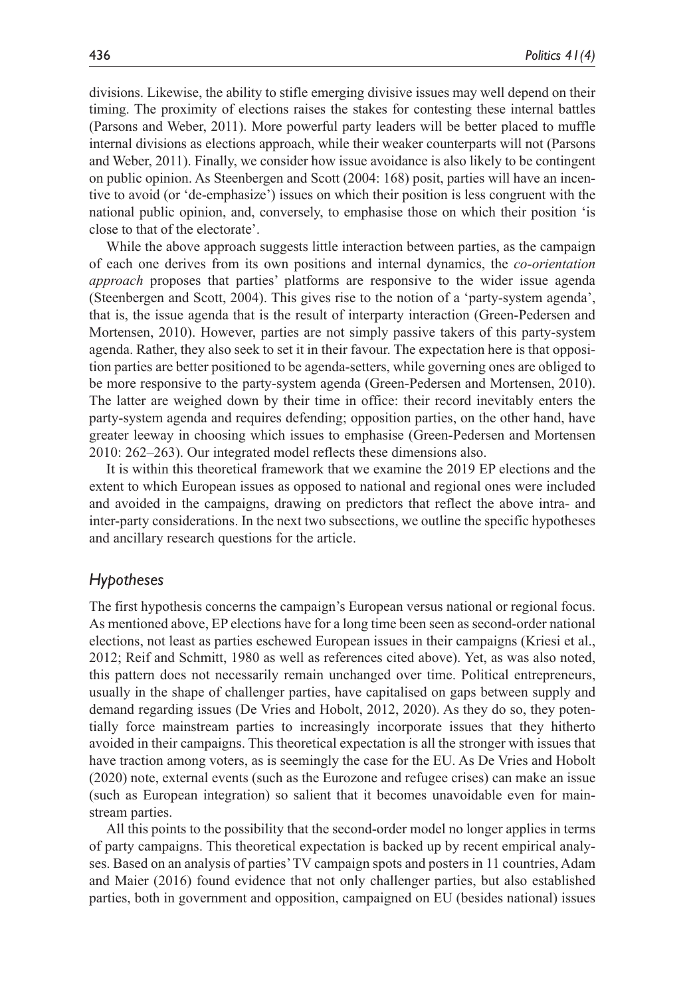divisions. Likewise, the ability to stifle emerging divisive issues may well depend on their timing. The proximity of elections raises the stakes for contesting these internal battles (Parsons and Weber, 2011). More powerful party leaders will be better placed to muffle internal divisions as elections approach, while their weaker counterparts will not (Parsons and Weber, 2011). Finally, we consider how issue avoidance is also likely to be contingent on public opinion. As Steenbergen and Scott (2004: 168) posit, parties will have an incentive to avoid (or 'de-emphasize') issues on which their position is less congruent with the national public opinion, and, conversely, to emphasise those on which their position 'is close to that of the electorate'.

While the above approach suggests little interaction between parties, as the campaign of each one derives from its own positions and internal dynamics, the *co-orientation approach* proposes that parties' platforms are responsive to the wider issue agenda (Steenbergen and Scott, 2004). This gives rise to the notion of a 'party-system agenda', that is, the issue agenda that is the result of interparty interaction (Green-Pedersen and Mortensen, 2010). However, parties are not simply passive takers of this party-system agenda. Rather, they also seek to set it in their favour. The expectation here is that opposition parties are better positioned to be agenda-setters, while governing ones are obliged to be more responsive to the party-system agenda (Green-Pedersen and Mortensen, 2010). The latter are weighed down by their time in office: their record inevitably enters the party-system agenda and requires defending; opposition parties, on the other hand, have greater leeway in choosing which issues to emphasise (Green-Pedersen and Mortensen 2010: 262–263). Our integrated model reflects these dimensions also.

It is within this theoretical framework that we examine the 2019 EP elections and the extent to which European issues as opposed to national and regional ones were included and avoided in the campaigns, drawing on predictors that reflect the above intra- and inter-party considerations. In the next two subsections, we outline the specific hypotheses and ancillary research questions for the article.

#### *Hypotheses*

The first hypothesis concerns the campaign's European versus national or regional focus. As mentioned above, EP elections have for a long time been seen as second-order national elections, not least as parties eschewed European issues in their campaigns (Kriesi et al., 2012; Reif and Schmitt, 1980 as well as references cited above). Yet, as was also noted, this pattern does not necessarily remain unchanged over time. Political entrepreneurs, usually in the shape of challenger parties, have capitalised on gaps between supply and demand regarding issues (De Vries and Hobolt, 2012, 2020). As they do so, they potentially force mainstream parties to increasingly incorporate issues that they hitherto avoided in their campaigns. This theoretical expectation is all the stronger with issues that have traction among voters, as is seemingly the case for the EU. As De Vries and Hobolt (2020) note, external events (such as the Eurozone and refugee crises) can make an issue (such as European integration) so salient that it becomes unavoidable even for mainstream parties.

All this points to the possibility that the second-order model no longer applies in terms of party campaigns. This theoretical expectation is backed up by recent empirical analyses. Based on an analysis of parties' TV campaign spots and posters in 11 countries, Adam and Maier (2016) found evidence that not only challenger parties, but also established parties, both in government and opposition, campaigned on EU (besides national) issues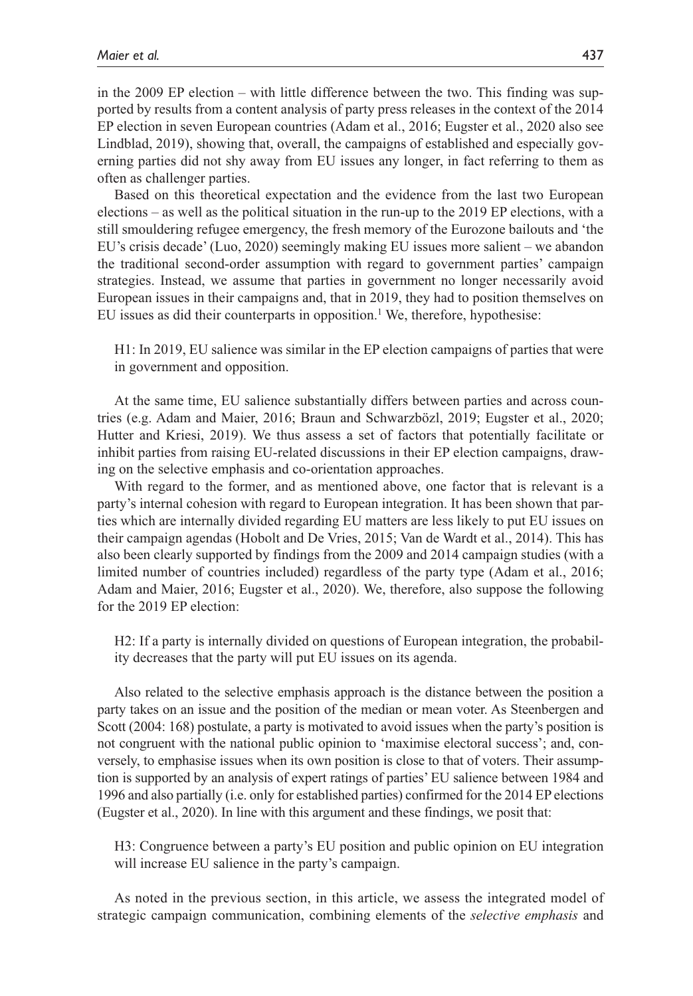in the 2009 EP election – with little difference between the two. This finding was supported by results from a content analysis of party press releases in the context of the 2014 EP election in seven European countries (Adam et al., 2016; Eugster et al., 2020 also see Lindblad, 2019), showing that, overall, the campaigns of established and especially governing parties did not shy away from EU issues any longer, in fact referring to them as often as challenger parties.

Based on this theoretical expectation and the evidence from the last two European elections – as well as the political situation in the run-up to the 2019 EP elections, with a still smouldering refugee emergency, the fresh memory of the Eurozone bailouts and 'the EU's crisis decade' (Luo, 2020) seemingly making EU issues more salient – we abandon the traditional second-order assumption with regard to government parties' campaign strategies. Instead, we assume that parties in government no longer necessarily avoid European issues in their campaigns and, that in 2019, they had to position themselves on EU issues as did their counterparts in opposition.<sup>1</sup> We, therefore, hypothesise:

H1: In 2019, EU salience was similar in the EP election campaigns of parties that were in government and opposition.

At the same time, EU salience substantially differs between parties and across countries (e.g. Adam and Maier, 2016; Braun and Schwarzbözl, 2019; Eugster et al., 2020; Hutter and Kriesi, 2019). We thus assess a set of factors that potentially facilitate or inhibit parties from raising EU-related discussions in their EP election campaigns, drawing on the selective emphasis and co-orientation approaches.

With regard to the former, and as mentioned above, one factor that is relevant is a party's internal cohesion with regard to European integration. It has been shown that parties which are internally divided regarding EU matters are less likely to put EU issues on their campaign agendas (Hobolt and De Vries, 2015; Van de Wardt et al., 2014). This has also been clearly supported by findings from the 2009 and 2014 campaign studies (with a limited number of countries included) regardless of the party type (Adam et al., 2016; Adam and Maier, 2016; Eugster et al., 2020). We, therefore, also suppose the following for the 2019 EP election:

H2: If a party is internally divided on questions of European integration, the probability decreases that the party will put EU issues on its agenda.

Also related to the selective emphasis approach is the distance between the position a party takes on an issue and the position of the median or mean voter. As Steenbergen and Scott (2004: 168) postulate, a party is motivated to avoid issues when the party's position is not congruent with the national public opinion to 'maximise electoral success'; and, conversely, to emphasise issues when its own position is close to that of voters. Their assumption is supported by an analysis of expert ratings of parties' EU salience between 1984 and 1996 and also partially (i.e. only for established parties) confirmed for the 2014 EP elections (Eugster et al., 2020). In line with this argument and these findings, we posit that:

H3: Congruence between a party's EU position and public opinion on EU integration will increase EU salience in the party's campaign.

As noted in the previous section, in this article, we assess the integrated model of strategic campaign communication, combining elements of the *selective emphasis* and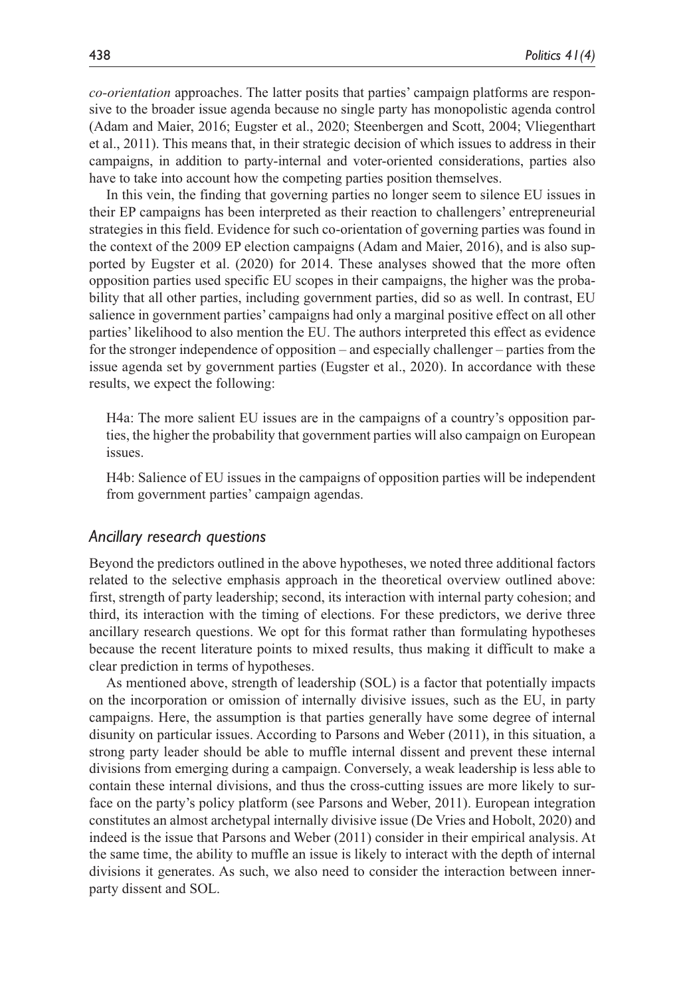*co-orientation* approaches. The latter posits that parties' campaign platforms are responsive to the broader issue agenda because no single party has monopolistic agenda control (Adam and Maier, 2016; Eugster et al., 2020; Steenbergen and Scott, 2004; Vliegenthart et al., 2011). This means that, in their strategic decision of which issues to address in their campaigns, in addition to party-internal and voter-oriented considerations, parties also have to take into account how the competing parties position themselves.

In this vein, the finding that governing parties no longer seem to silence EU issues in their EP campaigns has been interpreted as their reaction to challengers' entrepreneurial strategies in this field. Evidence for such co-orientation of governing parties was found in the context of the 2009 EP election campaigns (Adam and Maier, 2016), and is also supported by Eugster et al. (2020) for 2014. These analyses showed that the more often opposition parties used specific EU scopes in their campaigns, the higher was the probability that all other parties, including government parties, did so as well. In contrast, EU salience in government parties' campaigns had only a marginal positive effect on all other parties' likelihood to also mention the EU. The authors interpreted this effect as evidence for the stronger independence of opposition – and especially challenger – parties from the issue agenda set by government parties (Eugster et al., 2020). In accordance with these results, we expect the following:

H4a: The more salient EU issues are in the campaigns of a country's opposition parties, the higher the probability that government parties will also campaign on European issues.

H4b: Salience of EU issues in the campaigns of opposition parties will be independent from government parties' campaign agendas.

#### *Ancillary research questions*

Beyond the predictors outlined in the above hypotheses, we noted three additional factors related to the selective emphasis approach in the theoretical overview outlined above: first, strength of party leadership; second, its interaction with internal party cohesion; and third, its interaction with the timing of elections. For these predictors, we derive three ancillary research questions. We opt for this format rather than formulating hypotheses because the recent literature points to mixed results, thus making it difficult to make a clear prediction in terms of hypotheses.

As mentioned above, strength of leadership (SOL) is a factor that potentially impacts on the incorporation or omission of internally divisive issues, such as the EU, in party campaigns. Here, the assumption is that parties generally have some degree of internal disunity on particular issues. According to Parsons and Weber (2011), in this situation, a strong party leader should be able to muffle internal dissent and prevent these internal divisions from emerging during a campaign. Conversely, a weak leadership is less able to contain these internal divisions, and thus the cross-cutting issues are more likely to surface on the party's policy platform (see Parsons and Weber, 2011). European integration constitutes an almost archetypal internally divisive issue (De Vries and Hobolt, 2020) and indeed is the issue that Parsons and Weber (2011) consider in their empirical analysis. At the same time, the ability to muffle an issue is likely to interact with the depth of internal divisions it generates. As such, we also need to consider the interaction between innerparty dissent and SOL.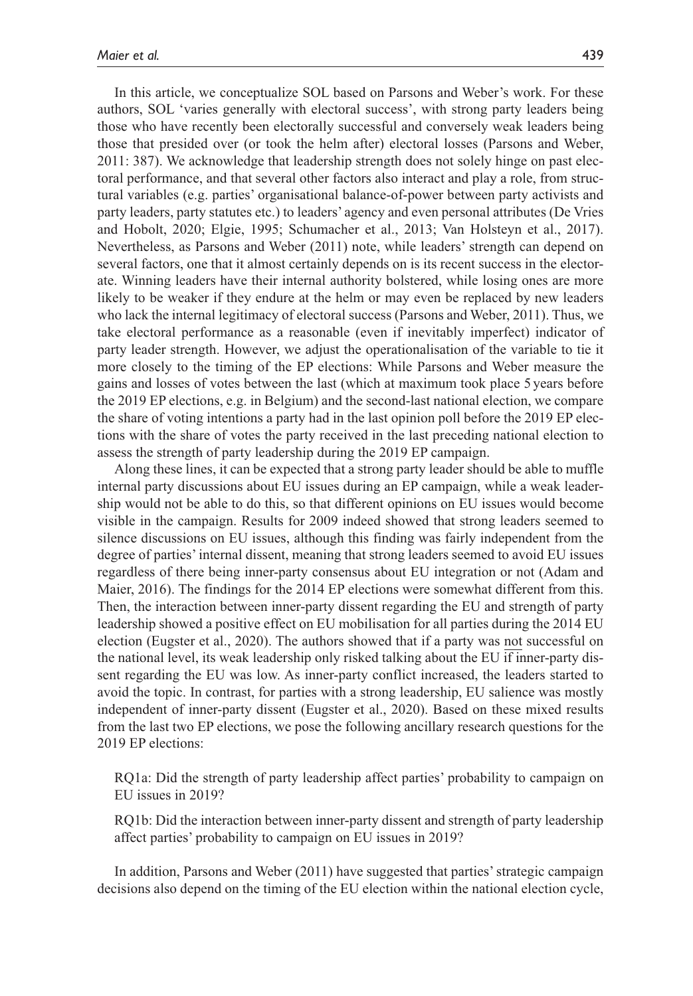In this article, we conceptualize SOL based on Parsons and Weber's work. For these authors, SOL 'varies generally with electoral success', with strong party leaders being those who have recently been electorally successful and conversely weak leaders being those that presided over (or took the helm after) electoral losses (Parsons and Weber, 2011: 387). We acknowledge that leadership strength does not solely hinge on past electoral performance, and that several other factors also interact and play a role, from structural variables (e.g. parties' organisational balance-of-power between party activists and party leaders, party statutes etc.) to leaders' agency and even personal attributes (De Vries and Hobolt, 2020; Elgie, 1995; Schumacher et al., 2013; Van Holsteyn et al., 2017). Nevertheless, as Parsons and Weber (2011) note, while leaders' strength can depend on several factors, one that it almost certainly depends on is its recent success in the electorate. Winning leaders have their internal authority bolstered, while losing ones are more likely to be weaker if they endure at the helm or may even be replaced by new leaders who lack the internal legitimacy of electoral success (Parsons and Weber, 2011). Thus, we take electoral performance as a reasonable (even if inevitably imperfect) indicator of party leader strength. However, we adjust the operationalisation of the variable to tie it more closely to the timing of the EP elections: While Parsons and Weber measure the gains and losses of votes between the last (which at maximum took place 5 years before the 2019 EP elections, e.g. in Belgium) and the second-last national election, we compare the share of voting intentions a party had in the last opinion poll before the 2019 EP elections with the share of votes the party received in the last preceding national election to assess the strength of party leadership during the 2019 EP campaign.

Along these lines, it can be expected that a strong party leader should be able to muffle internal party discussions about EU issues during an EP campaign, while a weak leadership would not be able to do this, so that different opinions on EU issues would become visible in the campaign. Results for 2009 indeed showed that strong leaders seemed to silence discussions on EU issues, although this finding was fairly independent from the degree of parties' internal dissent, meaning that strong leaders seemed to avoid EU issues regardless of there being inner-party consensus about EU integration or not (Adam and Maier, 2016). The findings for the 2014 EP elections were somewhat different from this. Then, the interaction between inner-party dissent regarding the EU and strength of party leadership showed a positive effect on EU mobilisation for all parties during the 2014 EU election (Eugster et al., 2020). The authors showed that if a party was not successful on the national level, its weak leadership only risked talking about the EU if inner-party dissent regarding the EU was low. As inner-party conflict increased, the leaders started to avoid the topic. In contrast, for parties with a strong leadership, EU salience was mostly independent of inner-party dissent (Eugster et al., 2020). Based on these mixed results from the last two EP elections, we pose the following ancillary research questions for the 2019 EP elections:

RQ1a: Did the strength of party leadership affect parties' probability to campaign on EU issues in 2019?

RQ1b: Did the interaction between inner-party dissent and strength of party leadership affect parties' probability to campaign on EU issues in 2019?

In addition, Parsons and Weber (2011) have suggested that parties' strategic campaign decisions also depend on the timing of the EU election within the national election cycle,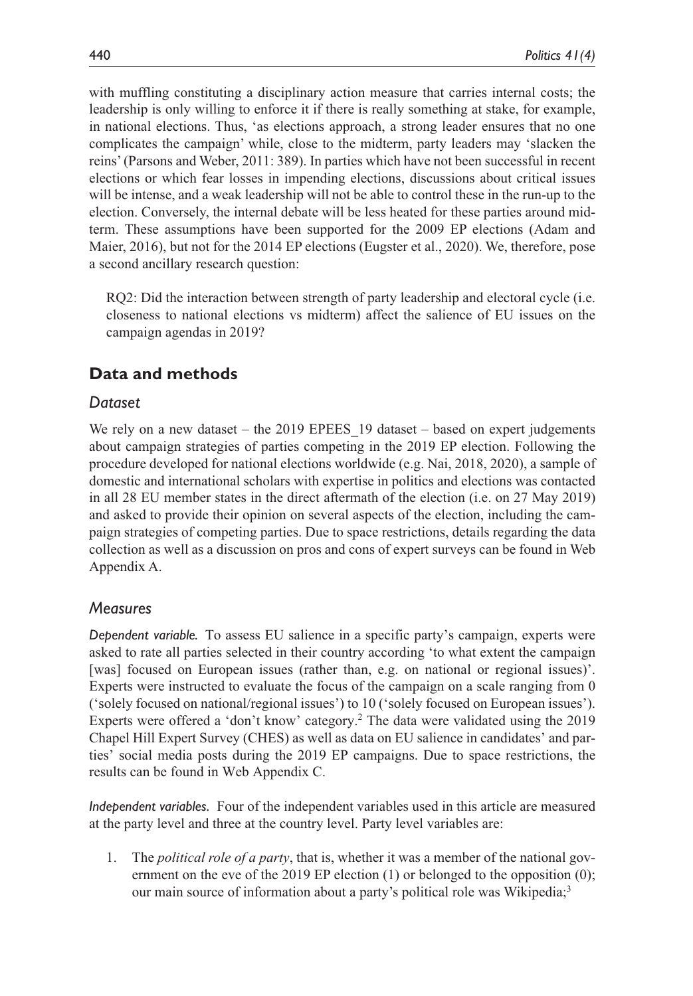with muffling constituting a disciplinary action measure that carries internal costs; the leadership is only willing to enforce it if there is really something at stake, for example, in national elections. Thus, 'as elections approach, a strong leader ensures that no one complicates the campaign' while, close to the midterm, party leaders may 'slacken the reins' (Parsons and Weber, 2011: 389). In parties which have not been successful in recent elections or which fear losses in impending elections, discussions about critical issues will be intense, and a weak leadership will not be able to control these in the run-up to the election. Conversely, the internal debate will be less heated for these parties around midterm. These assumptions have been supported for the 2009 EP elections (Adam and Maier, 2016), but not for the 2014 EP elections (Eugster et al., 2020). We, therefore, pose a second ancillary research question:

RQ2: Did the interaction between strength of party leadership and electoral cycle (i.e. closeness to national elections vs midterm) affect the salience of EU issues on the campaign agendas in 2019?

## **Data and methods**

## *Dataset*

We rely on a new dataset – the 2019 EPEES 19 dataset – based on expert judgements about campaign strategies of parties competing in the 2019 EP election. Following the procedure developed for national elections worldwide (e.g. Nai, 2018, 2020), a sample of domestic and international scholars with expertise in politics and elections was contacted in all 28 EU member states in the direct aftermath of the election (i.e. on 27 May 2019) and asked to provide their opinion on several aspects of the election, including the campaign strategies of competing parties. Due to space restrictions, details regarding the data collection as well as a discussion on pros and cons of expert surveys can be found in Web Appendix A.

#### *Measures*

*Dependent variable.* To assess EU salience in a specific party's campaign, experts were asked to rate all parties selected in their country according 'to what extent the campaign [was] focused on European issues (rather than, e.g. on national or regional issues)'. Experts were instructed to evaluate the focus of the campaign on a scale ranging from 0 ('solely focused on national/regional issues') to 10 ('solely focused on European issues'). Experts were offered a 'don't know' category.<sup>2</sup> The data were validated using the 2019 Chapel Hill Expert Survey (CHES) as well as data on EU salience in candidates' and parties' social media posts during the 2019 EP campaigns. Due to space restrictions, the results can be found in Web Appendix C.

*Independent variables.* Four of the independent variables used in this article are measured at the party level and three at the country level. Party level variables are:

1. The *political role of a party*, that is, whether it was a member of the national government on the eve of the 2019 EP election  $(1)$  or belonged to the opposition  $(0)$ ; our main source of information about a party's political role was Wikipedia;<sup>3</sup>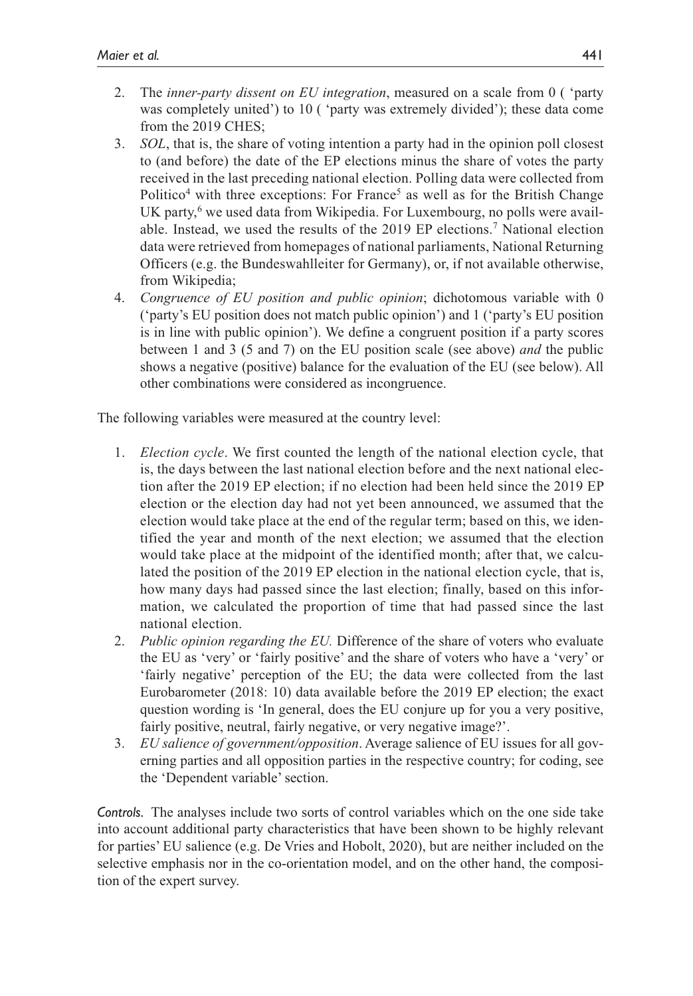- 2. The *inner-party dissent on EU integration*, measured on a scale from 0 ( 'party was completely united') to 10 ( 'party was extremely divided'); these data come from the 2019 CHES;
- 3. *SOL*, that is, the share of voting intention a party had in the opinion poll closest to (and before) the date of the EP elections minus the share of votes the party received in the last preceding national election. Polling data were collected from Politico<sup>4</sup> with three exceptions: For France<sup>5</sup> as well as for the British Change UK party,<sup>6</sup> we used data from Wikipedia. For Luxembourg, no polls were available. Instead, we used the results of the 2019 EP elections.7 National election data were retrieved from homepages of national parliaments, National Returning Officers (e.g. the Bundeswahlleiter for Germany), or, if not available otherwise, from Wikipedia;
- 4. *Congruence of EU position and public opinion*; dichotomous variable with 0 ('party's EU position does not match public opinion') and 1 ('party's EU position is in line with public opinion'). We define a congruent position if a party scores between 1 and 3 (5 and 7) on the EU position scale (see above) *and* the public shows a negative (positive) balance for the evaluation of the EU (see below). All other combinations were considered as incongruence.

The following variables were measured at the country level:

- 1. *Election cycle*. We first counted the length of the national election cycle, that is, the days between the last national election before and the next national election after the 2019 EP election; if no election had been held since the 2019 EP election or the election day had not yet been announced, we assumed that the election would take place at the end of the regular term; based on this, we identified the year and month of the next election; we assumed that the election would take place at the midpoint of the identified month; after that, we calculated the position of the 2019 EP election in the national election cycle, that is, how many days had passed since the last election; finally, based on this information, we calculated the proportion of time that had passed since the last national election.
- 2. *Public opinion regarding the EU.* Difference of the share of voters who evaluate the EU as 'very' or 'fairly positive' and the share of voters who have a 'very' or 'fairly negative' perception of the EU; the data were collected from the last Eurobarometer (2018: 10) data available before the 2019 EP election; the exact question wording is 'In general, does the EU conjure up for you a very positive, fairly positive, neutral, fairly negative, or very negative image?'.
- 3. *EU salience of government/opposition*. Average salience of EU issues for all governing parties and all opposition parties in the respective country; for coding, see the 'Dependent variable' section.

*Controls.* The analyses include two sorts of control variables which on the one side take into account additional party characteristics that have been shown to be highly relevant for parties' EU salience (e.g. De Vries and Hobolt, 2020), but are neither included on the selective emphasis nor in the co-orientation model, and on the other hand, the composition of the expert survey.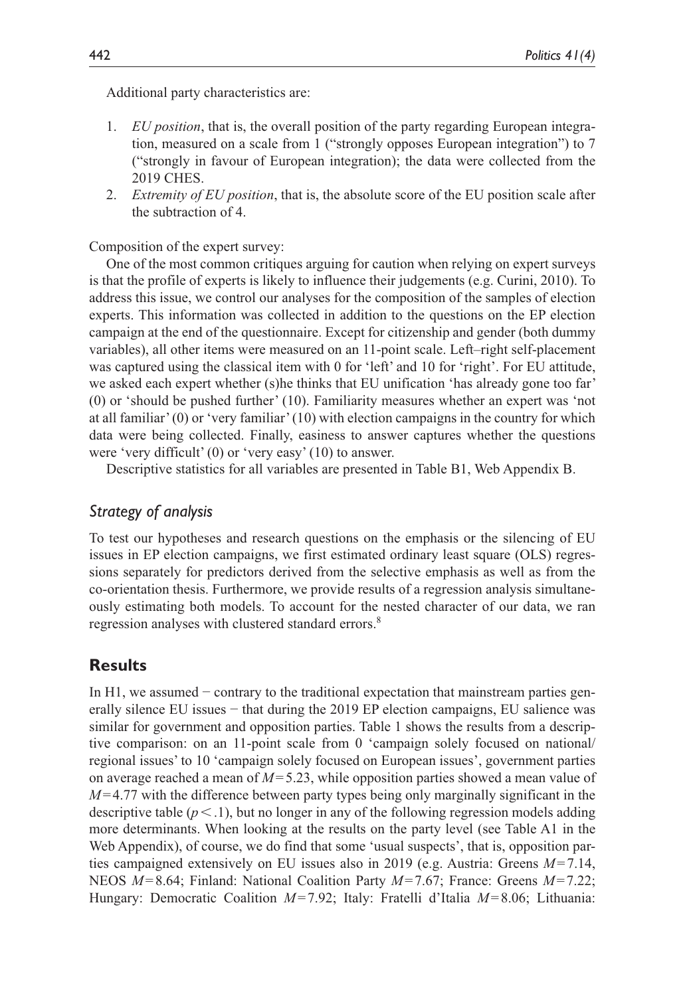Additional party characteristics are:

- 1. *EU position*, that is, the overall position of the party regarding European integration, measured on a scale from 1 ("strongly opposes European integration") to 7 ("strongly in favour of European integration); the data were collected from the 2019 CHES.
- 2. *Extremity of EU position*, that is, the absolute score of the EU position scale after the subtraction of 4.

Composition of the expert survey:

One of the most common critiques arguing for caution when relying on expert surveys is that the profile of experts is likely to influence their judgements (e.g. Curini, 2010). To address this issue, we control our analyses for the composition of the samples of election experts. This information was collected in addition to the questions on the EP election campaign at the end of the questionnaire. Except for citizenship and gender (both dummy variables), all other items were measured on an 11-point scale. Left–right self-placement was captured using the classical item with 0 for 'left' and 10 for 'right'. For EU attitude, we asked each expert whether (s)he thinks that EU unification 'has already gone too far' (0) or 'should be pushed further' (10). Familiarity measures whether an expert was 'not at all familiar' (0) or 'very familiar' (10) with election campaigns in the country for which data were being collected. Finally, easiness to answer captures whether the questions were 'very difficult' (0) or 'very easy' (10) to answer.

Descriptive statistics for all variables are presented in Table B1, Web Appendix B.

## *Strategy of analysis*

To test our hypotheses and research questions on the emphasis or the silencing of EU issues in EP election campaigns, we first estimated ordinary least square (OLS) regressions separately for predictors derived from the selective emphasis as well as from the co-orientation thesis. Furthermore, we provide results of a regression analysis simultaneously estimating both models. To account for the nested character of our data, we ran regression analyses with clustered standard errors.<sup>8</sup>

## **Results**

In H1, we assumed − contrary to the traditional expectation that mainstream parties generally silence EU issues − that during the 2019 EP election campaigns, EU salience was similar for government and opposition parties. Table 1 shows the results from a descriptive comparison: on an 11-point scale from 0 'campaign solely focused on national/ regional issues' to 10 'campaign solely focused on European issues', government parties on average reached a mean of *M*=5.23, while opposition parties showed a mean value of *M*=4.77 with the difference between party types being only marginally significant in the descriptive table  $(p < 1)$ , but no longer in any of the following regression models adding more determinants. When looking at the results on the party level (see Table A1 in the Web Appendix), of course, we do find that some 'usual suspects', that is, opposition parties campaigned extensively on EU issues also in 2019 (e.g. Austria: Greens *M*=7.14, NEOS *M*=8.64; Finland: National Coalition Party *M*=7.67; France: Greens *M*=7.22; Hungary: Democratic Coalition *M*=7.92; Italy: Fratelli d'Italia *M*=8.06; Lithuania: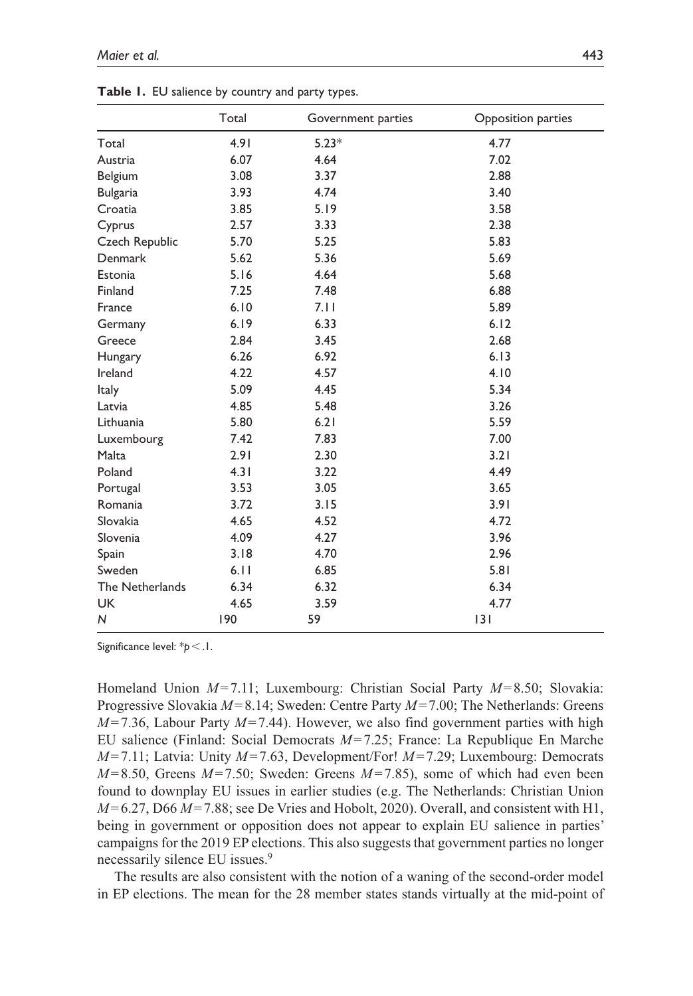|                 | Total | Government parties | Opposition parties |
|-----------------|-------|--------------------|--------------------|
| Total           | 4.91  | $5.23*$            | 4.77               |
| Austria         | 6.07  | 4.64               | 7.02               |
| Belgium         | 3.08  | 3.37               | 2.88               |
| <b>Bulgaria</b> | 3.93  | 4.74               | 3.40               |
| Croatia         | 3.85  | 5.19               | 3.58               |
| Cyprus          | 2.57  | 3.33               | 2.38               |
| Czech Republic  | 5.70  | 5.25               | 5.83               |
| Denmark         | 5.62  | 5.36               | 5.69               |
| Estonia         | 5.16  | 4.64               | 5.68               |
| Finland         | 7.25  | 7.48               | 6.88               |
| France          | 6.10  | 7.11               | 5.89               |
| Germany         | 6.19  | 6.33               | 6.12               |
| Greece          | 2.84  | 3.45               | 2.68               |
| Hungary         | 6.26  | 6.92               | 6.13               |
| Ireland         | 4.22  | 4.57               | 4.10               |
| Italy           | 5.09  | 4.45               | 5.34               |
| Latvia          | 4.85  | 5.48               | 3.26               |
| Lithuania       | 5.80  | 6.21               | 5.59               |
| Luxembourg      | 7.42  | 7.83               | 7.00               |
| Malta           | 2.91  | 2.30               | 3.21               |
| Poland          | 4.31  | 3.22               | 4.49               |
| Portugal        | 3.53  | 3.05               | 3.65               |
| Romania         | 3.72  | 3.15               | 3.91               |
| Slovakia        | 4.65  | 4.52               | 4.72               |
| Slovenia        | 4.09  | 4.27               | 3.96               |
| Spain           | 3.18  | 4.70               | 2.96               |
| Sweden          | 6.11  | 6.85               | 5.81               |
| The Netherlands | 6.34  | 6.32               | 6.34               |
| <b>UK</b>       | 4.65  | 3.59               | 4.77               |
| N               | 190   | 59                 | 3                  |

**Table 1.** EU salience by country and party types.

Significance level: \**p*<.1.

Homeland Union *M*=7.11; Luxembourg: Christian Social Party *M*=8.50; Slovakia: Progressive Slovakia *M*=8.14; Sweden: Centre Party *M*=7.00; The Netherlands: Greens *M*=7.36, Labour Party *M*=7.44). However, we also find government parties with high EU salience (Finland: Social Democrats *M*=7.25; France: La Republique En Marche *M*=7.11; Latvia: Unity *M*=7.63, Development/For! *M*=7.29; Luxembourg: Democrats *M*=8.50, Greens *M*=7.50; Sweden: Greens *M*=7.85), some of which had even been found to downplay EU issues in earlier studies (e.g. The Netherlands: Christian Union *M*=6.27, D66 *M*=7.88; see De Vries and Hobolt, 2020). Overall, and consistent with H1, being in government or opposition does not appear to explain EU salience in parties' campaigns for the 2019 EP elections. This also suggests that government parties no longer necessarily silence EU issues.<sup>9</sup>

The results are also consistent with the notion of a waning of the second-order model in EP elections. The mean for the 28 member states stands virtually at the mid-point of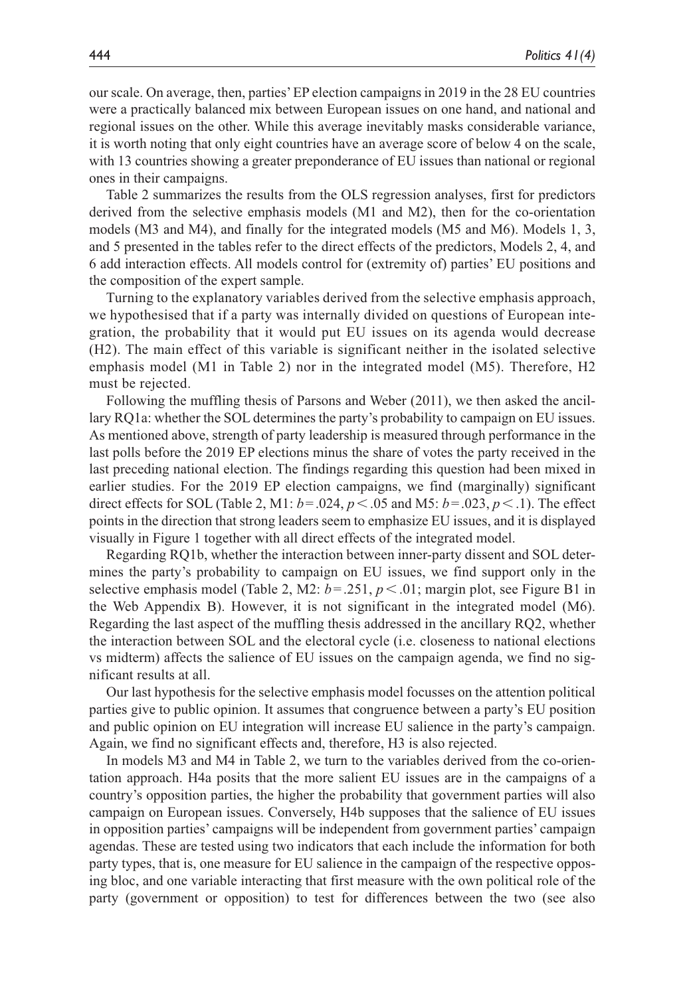our scale. On average, then, parties' EP election campaigns in 2019 in the 28 EU countries were a practically balanced mix between European issues on one hand, and national and regional issues on the other. While this average inevitably masks considerable variance, it is worth noting that only eight countries have an average score of below 4 on the scale, with 13 countries showing a greater preponderance of EU issues than national or regional ones in their campaigns.

Table 2 summarizes the results from the OLS regression analyses, first for predictors derived from the selective emphasis models (M1 and M2), then for the co-orientation models (M3 and M4), and finally for the integrated models (M5 and M6). Models 1, 3, and 5 presented in the tables refer to the direct effects of the predictors, Models 2, 4, and 6 add interaction effects. All models control for (extremity of) parties' EU positions and the composition of the expert sample.

Turning to the explanatory variables derived from the selective emphasis approach, we hypothesised that if a party was internally divided on questions of European integration, the probability that it would put EU issues on its agenda would decrease (H2). The main effect of this variable is significant neither in the isolated selective emphasis model (M1 in Table 2) nor in the integrated model (M5). Therefore, H2 must be rejected.

Following the muffling thesis of Parsons and Weber (2011), we then asked the ancillary RQ1a: whether the SOL determines the party's probability to campaign on EU issues. As mentioned above, strength of party leadership is measured through performance in the last polls before the 2019 EP elections minus the share of votes the party received in the last preceding national election. The findings regarding this question had been mixed in earlier studies. For the 2019 EP election campaigns, we find (marginally) significant direct effects for SOL (Table 2, M1: *b*=.024, *p*<.05 and M5: *b*=.023, *p*<.1). The effect points in the direction that strong leaders seem to emphasize EU issues, and it is displayed visually in Figure 1 together with all direct effects of the integrated model.

Regarding RQ1b, whether the interaction between inner-party dissent and SOL determines the party's probability to campaign on EU issues, we find support only in the selective emphasis model (Table 2, M2:  $b = .251$ ,  $p < .01$ ; margin plot, see Figure B1 in the Web Appendix B). However, it is not significant in the integrated model (M6). Regarding the last aspect of the muffling thesis addressed in the ancillary RQ2, whether the interaction between SOL and the electoral cycle (i.e. closeness to national elections vs midterm) affects the salience of EU issues on the campaign agenda, we find no significant results at all.

Our last hypothesis for the selective emphasis model focusses on the attention political parties give to public opinion. It assumes that congruence between a party's EU position and public opinion on EU integration will increase EU salience in the party's campaign. Again, we find no significant effects and, therefore, H3 is also rejected.

In models M3 and M4 in Table 2, we turn to the variables derived from the co-orientation approach. H4a posits that the more salient EU issues are in the campaigns of a country's opposition parties, the higher the probability that government parties will also campaign on European issues. Conversely, H4b supposes that the salience of EU issues in opposition parties' campaigns will be independent from government parties' campaign agendas. These are tested using two indicators that each include the information for both party types, that is, one measure for EU salience in the campaign of the respective opposing bloc, and one variable interacting that first measure with the own political role of the party (government or opposition) to test for differences between the two (see also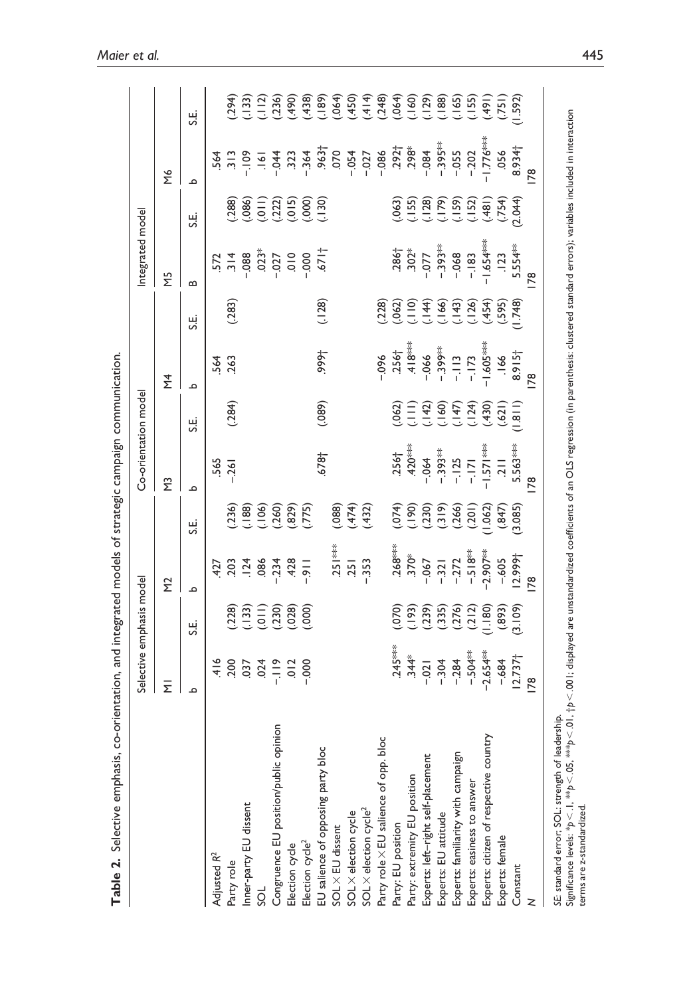| م<br>$(236)$<br>$(188)$<br>$(106)$<br>$(260)$<br>$(282)$<br>$(375)$<br>(088)<br>$(.474)$<br>$(.432)$<br>نا<br>ن<br>$.251***$<br>$-911$<br>$-911$<br>$-353$<br>$.124$<br>.086<br>.251<br>203<br>427<br>$\Sigma$<br>م<br>$(228)$<br>$(133)$<br>$(101)$<br>$(230)$<br>$(000)$<br>$(000)$<br>نا<br>ن<br>$\frac{416}{200}$<br>$37$<br>$-19$<br>$-19$<br>$-10$<br>$-00$<br>Ξ<br>م<br>Congruence EU position/public opinion<br>Party role X EU salience of opp. bloc<br>EU salience of opposing party bloc<br>Inner-party EU dissent<br>SOL X election cycle <sup>2</sup><br>SOL X election cycle<br>SOL × EU dissent<br>Election cycle <sup>2</sup><br>Election cycle<br>Adjusted R <sup>2</sup><br>Party role<br>SOL | $\tilde{\Xi}$ | نا<br>ن<br>565<br>$-261$ | $\overline{\Sigma}$ |                             |                                                          |                                         |                                                          |                                                          |                                                                                                                                                                                                                                                                                                                                                                                                                                           |
|-----------------------------------------------------------------------------------------------------------------------------------------------------------------------------------------------------------------------------------------------------------------------------------------------------------------------------------------------------------------------------------------------------------------------------------------------------------------------------------------------------------------------------------------------------------------------------------------------------------------------------------------------------------------------------------------------------------------|---------------|--------------------------|---------------------|-----------------------------|----------------------------------------------------------|-----------------------------------------|----------------------------------------------------------|----------------------------------------------------------|-------------------------------------------------------------------------------------------------------------------------------------------------------------------------------------------------------------------------------------------------------------------------------------------------------------------------------------------------------------------------------------------------------------------------------------------|
|                                                                                                                                                                                                                                                                                                                                                                                                                                                                                                                                                                                                                                                                                                                 |               |                          |                     |                             |                                                          | Σ                                       |                                                          | ΣΜ                                                       |                                                                                                                                                                                                                                                                                                                                                                                                                                           |
|                                                                                                                                                                                                                                                                                                                                                                                                                                                                                                                                                                                                                                                                                                                 |               |                          | م                   |                             | Ξ.                                                       | $\mathbf{a}$                            | نج                                                       | م                                                        | نج                                                                                                                                                                                                                                                                                                                                                                                                                                        |
|                                                                                                                                                                                                                                                                                                                                                                                                                                                                                                                                                                                                                                                                                                                 |               |                          |                     | 564                         |                                                          |                                         |                                                          |                                                          |                                                                                                                                                                                                                                                                                                                                                                                                                                           |
|                                                                                                                                                                                                                                                                                                                                                                                                                                                                                                                                                                                                                                                                                                                 |               |                          | (.284)              | 263                         | (283)                                                    | $\frac{572}{314}$                       | (388)                                                    |                                                          |                                                                                                                                                                                                                                                                                                                                                                                                                                           |
|                                                                                                                                                                                                                                                                                                                                                                                                                                                                                                                                                                                                                                                                                                                 |               |                          |                     |                             |                                                          |                                         |                                                          | $\begin{array}{cccc}\n3.64 \\ 3.13 \\ 3.15\n\end{array}$ | $\begin{array}{cccccccccc} \mathfrak{F} & \mathfrak{F} & \mathfrak{F} & \mathfrak{F} & \mathfrak{F} & \mathfrak{F} & \mathfrak{F} & \mathfrak{F} & \mathfrak{F} & \mathfrak{F} & \mathfrak{F} & \mathfrak{F} & \mathfrak{F} & \mathfrak{F} & \mathfrak{F} & \mathfrak{F} & \mathfrak{F} & \mathfrak{F} & \mathfrak{F} & \mathfrak{F} & \mathfrak{F} & \mathfrak{F} & \mathfrak{F} & \mathfrak{F} & \mathfrak{F} & \mathfrak{F} & \mathfr$ |
|                                                                                                                                                                                                                                                                                                                                                                                                                                                                                                                                                                                                                                                                                                                 |               |                          |                     |                             |                                                          |                                         |                                                          |                                                          |                                                                                                                                                                                                                                                                                                                                                                                                                                           |
|                                                                                                                                                                                                                                                                                                                                                                                                                                                                                                                                                                                                                                                                                                                 |               |                          |                     |                             |                                                          | $-0.03$<br>$-0.07$<br>$-0.01$<br>$0.01$ | $(.086)$<br>$(.011)$<br>$(.015)$<br>$(.000)$<br>$(.130)$ |                                                          |                                                                                                                                                                                                                                                                                                                                                                                                                                           |
|                                                                                                                                                                                                                                                                                                                                                                                                                                                                                                                                                                                                                                                                                                                 |               |                          |                     |                             |                                                          |                                         |                                                          |                                                          |                                                                                                                                                                                                                                                                                                                                                                                                                                           |
|                                                                                                                                                                                                                                                                                                                                                                                                                                                                                                                                                                                                                                                                                                                 |               |                          |                     |                             |                                                          | $-000 -$                                |                                                          |                                                          |                                                                                                                                                                                                                                                                                                                                                                                                                                           |
|                                                                                                                                                                                                                                                                                                                                                                                                                                                                                                                                                                                                                                                                                                                 |               | $-678 +$                 | (089)               | ,999†                       | (128)                                                    | $-671$                                  |                                                          |                                                          |                                                                                                                                                                                                                                                                                                                                                                                                                                           |
|                                                                                                                                                                                                                                                                                                                                                                                                                                                                                                                                                                                                                                                                                                                 |               |                          |                     |                             |                                                          |                                         |                                                          |                                                          |                                                                                                                                                                                                                                                                                                                                                                                                                                           |
|                                                                                                                                                                                                                                                                                                                                                                                                                                                                                                                                                                                                                                                                                                                 |               |                          |                     |                             |                                                          |                                         |                                                          |                                                          |                                                                                                                                                                                                                                                                                                                                                                                                                                           |
|                                                                                                                                                                                                                                                                                                                                                                                                                                                                                                                                                                                                                                                                                                                 |               |                          |                     |                             |                                                          |                                         |                                                          |                                                          |                                                                                                                                                                                                                                                                                                                                                                                                                                           |
|                                                                                                                                                                                                                                                                                                                                                                                                                                                                                                                                                                                                                                                                                                                 |               |                          |                     | $-0.06$                     | (228)                                                    |                                         |                                                          |                                                          |                                                                                                                                                                                                                                                                                                                                                                                                                                           |
| $.268***$<br>$.245***$<br>$.344*$<br>Party: EU position                                                                                                                                                                                                                                                                                                                                                                                                                                                                                                                                                                                                                                                         |               | $.256†$<br>.420***       | (062)               | $.256†$ .418***             | $(.062)$<br>$(.110)$<br>$(.140)$<br>$(.140)$<br>$(.126)$ | $.386$<br>$.302*$<br>$-0.077$           |                                                          | $-0.392^{+0.792+0.798}$                                  |                                                                                                                                                                                                                                                                                                                                                                                                                                           |
| Party: extremity EU position                                                                                                                                                                                                                                                                                                                                                                                                                                                                                                                                                                                                                                                                                    |               |                          |                     |                             |                                                          |                                         |                                                          |                                                          |                                                                                                                                                                                                                                                                                                                                                                                                                                           |
| (1074)<br>(1900)<br>(1075)<br>(1076)<br>$-370*$<br>$-0.021$<br>Experts: left-right self-placement                                                                                                                                                                                                                                                                                                                                                                                                                                                                                                                                                                                                               |               | $-064$                   | (二)<br>ことのの<br>ここここ | $-066$                      |                                                          |                                         | (155)<br>(155)<br>(157)<br>(152)<br>(152)                |                                                          |                                                                                                                                                                                                                                                                                                                                                                                                                                           |
| $-304$<br>$-284$<br>Experts: EU attitude                                                                                                                                                                                                                                                                                                                                                                                                                                                                                                                                                                                                                                                                        |               | $-393**$                 |                     | $-399***$                   |                                                          | $-393**$                                |                                                          |                                                          |                                                                                                                                                                                                                                                                                                                                                                                                                                           |
| $-321$<br>$-272$<br>$-518***$<br>$-2.907***$<br>Experts: familiarity with campaign                                                                                                                                                                                                                                                                                                                                                                                                                                                                                                                                                                                                                              |               | $-125$<br>$-171$         |                     | $\frac{m}{n}$ $\frac{m}{n}$ |                                                          | $-068$                                  |                                                          | $-395***$<br>$-055$<br>$-202$                            |                                                                                                                                                                                                                                                                                                                                                                                                                                           |
| $-504***$<br>Experts: easiness to answer                                                                                                                                                                                                                                                                                                                                                                                                                                                                                                                                                                                                                                                                        |               |                          |                     |                             |                                                          | $-183$                                  |                                                          |                                                          |                                                                                                                                                                                                                                                                                                                                                                                                                                           |
| $(0.062)$<br>$(0.047)$<br>$(0.085)$<br>Experts: citizen of respective country                                                                                                                                                                                                                                                                                                                                                                                                                                                                                                                                                                                                                                   |               | $1.571***$               | $(159)$<br>(.621)   | $-1.605***$                 | $(454)$<br>$(595)$<br>$(1748)$                           | $1.654***$                              | $(181)$<br>$(754)$                                       | $-1.776***$                                              | $(491)$<br>$(751)$<br>$(1592)$                                                                                                                                                                                                                                                                                                                                                                                                            |
| $-605$<br>$(893)$<br>$(3.109)$<br>$-684$<br>Experts: female                                                                                                                                                                                                                                                                                                                                                                                                                                                                                                                                                                                                                                                     |               | $\overline{z}$           |                     | $.166$<br>8.915†            |                                                          | .123                                    |                                                          | 056                                                      |                                                                                                                                                                                                                                                                                                                                                                                                                                           |
| $12.999 +$<br>12.737 <sub>1</sub><br>Constant                                                                                                                                                                                                                                                                                                                                                                                                                                                                                                                                                                                                                                                                   |               | 5.563***                 | $\frac{1.811}{2}$   |                             |                                                          | 5.554**                                 | 2.044                                                    | 8.934                                                    |                                                                                                                                                                                                                                                                                                                                                                                                                                           |
| 78<br>78                                                                                                                                                                                                                                                                                                                                                                                                                                                                                                                                                                                                                                                                                                        | 78            |                          | 78                  |                             |                                                          | œ                                       |                                                          | 78                                                       |                                                                                                                                                                                                                                                                                                                                                                                                                                           |

SE: standard error; SOL: strength of leadership.<br>Significance levels: \*p <. 10, , \*\*\*p <. 0.0 ; +p <. 00 i; displayed are unstandardized coefficients of an OLS regression (in parenthesis: clustered standard errors); varia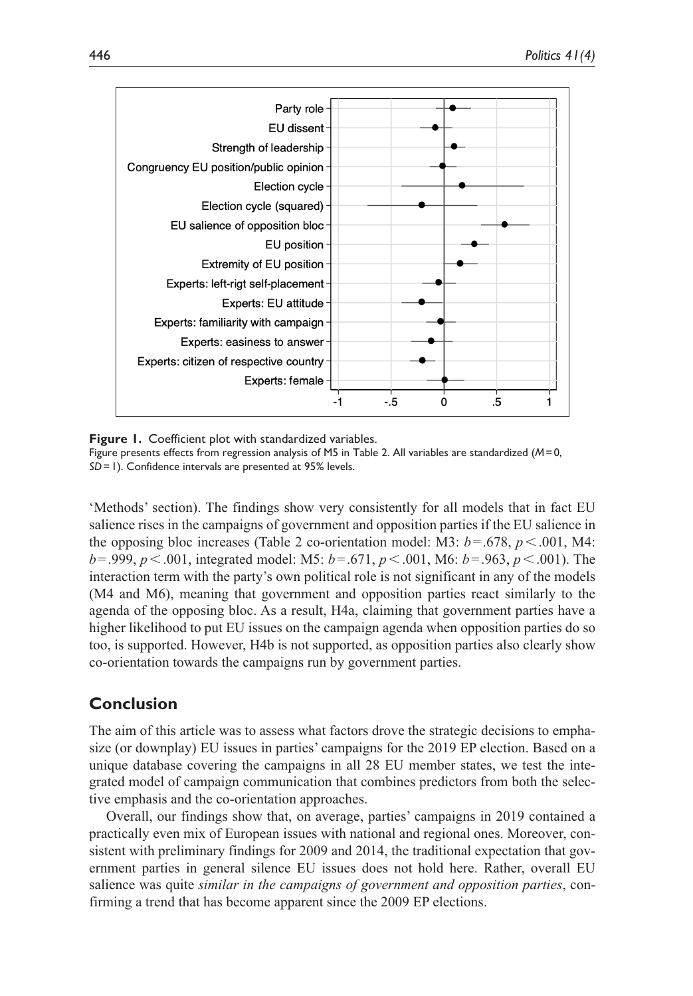

**Figure 1.** Coefficient plot with standardized variables. Figure presents effects from regression analysis of M5 in Table 2. All variables are standardized (*M*=0, *SD*=1). Confidence intervals are presented at 95% levels.

'Methods' section). The findings show very consistently for all models that in fact EU salience rises in the campaigns of government and opposition parties if the EU salience in the opposing bloc increases (Table 2 co-orientation model: M3:  $b = .678$ ,  $p < .001$ , M4: *b*=.999, *p*<.001, integrated model: M5: *b*=.671, *p*<.001, M6: *b*=.963, *p*<.001). The interaction term with the party's own political role is not significant in any of the models (M4 and M6), meaning that government and opposition parties react similarly to the agenda of the opposing bloc. As a result, H4a, claiming that government parties have a higher likelihood to put EU issues on the campaign agenda when opposition parties do so too, is supported. However, H4b is not supported, as opposition parties also clearly show co-orientation towards the campaigns run by government parties.

## **Conclusion**

The aim of this article was to assess what factors drove the strategic decisions to emphasize (or downplay) EU issues in parties' campaigns for the 2019 EP election. Based on a unique database covering the campaigns in all 28 EU member states, we test the integrated model of campaign communication that combines predictors from both the selective emphasis and the co-orientation approaches.

Overall, our findings show that, on average, parties' campaigns in 2019 contained a practically even mix of European issues with national and regional ones. Moreover, consistent with preliminary findings for 2009 and 2014, the traditional expectation that government parties in general silence EU issues does not hold here. Rather, overall EU salience was quite *similar in the campaigns of government and opposition parties*, confirming a trend that has become apparent since the 2009 EP elections.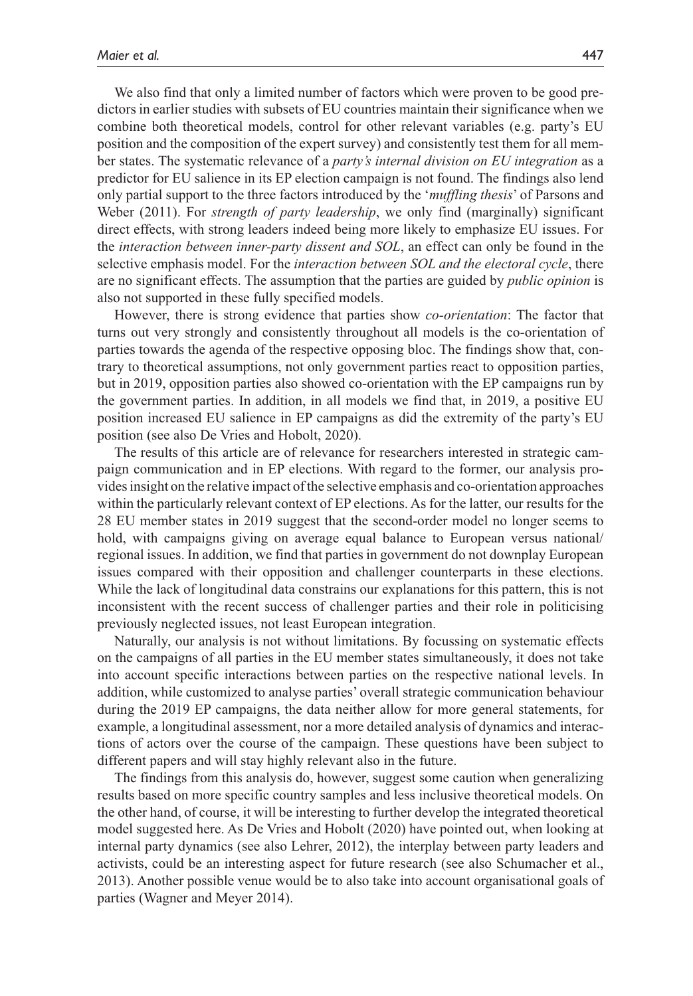We also find that only a limited number of factors which were proven to be good predictors in earlier studies with subsets of EU countries maintain their significance when we combine both theoretical models, control for other relevant variables (e.g. party's EU position and the composition of the expert survey) and consistently test them for all member states. The systematic relevance of a *party's internal division on EU integration* as a predictor for EU salience in its EP election campaign is not found. The findings also lend only partial support to the three factors introduced by the '*muffling thesis*' of Parsons and Weber (2011). For *strength of party leadership*, we only find (marginally) significant direct effects, with strong leaders indeed being more likely to emphasize EU issues. For the *interaction between inner-party dissent and SOL*, an effect can only be found in the selective emphasis model. For the *interaction between SOL and the electoral cycle*, there are no significant effects. The assumption that the parties are guided by *public opinion* is also not supported in these fully specified models.

However, there is strong evidence that parties show *co-orientation*: The factor that turns out very strongly and consistently throughout all models is the co-orientation of parties towards the agenda of the respective opposing bloc. The findings show that, contrary to theoretical assumptions, not only government parties react to opposition parties, but in 2019, opposition parties also showed co-orientation with the EP campaigns run by the government parties. In addition, in all models we find that, in 2019, a positive EU position increased EU salience in EP campaigns as did the extremity of the party's EU position (see also De Vries and Hobolt, 2020).

The results of this article are of relevance for researchers interested in strategic campaign communication and in EP elections. With regard to the former, our analysis provides insight on the relative impact of the selective emphasis and co-orientation approaches within the particularly relevant context of EP elections. As for the latter, our results for the 28 EU member states in 2019 suggest that the second-order model no longer seems to hold, with campaigns giving on average equal balance to European versus national/ regional issues. In addition, we find that parties in government do not downplay European issues compared with their opposition and challenger counterparts in these elections. While the lack of longitudinal data constrains our explanations for this pattern, this is not inconsistent with the recent success of challenger parties and their role in politicising previously neglected issues, not least European integration.

Naturally, our analysis is not without limitations. By focussing on systematic effects on the campaigns of all parties in the EU member states simultaneously, it does not take into account specific interactions between parties on the respective national levels. In addition, while customized to analyse parties' overall strategic communication behaviour during the 2019 EP campaigns, the data neither allow for more general statements, for example, a longitudinal assessment, nor a more detailed analysis of dynamics and interactions of actors over the course of the campaign. These questions have been subject to different papers and will stay highly relevant also in the future.

The findings from this analysis do, however, suggest some caution when generalizing results based on more specific country samples and less inclusive theoretical models. On the other hand, of course, it will be interesting to further develop the integrated theoretical model suggested here. As De Vries and Hobolt (2020) have pointed out, when looking at internal party dynamics (see also Lehrer, 2012), the interplay between party leaders and activists, could be an interesting aspect for future research (see also Schumacher et al., 2013). Another possible venue would be to also take into account organisational goals of parties (Wagner and Meyer 2014).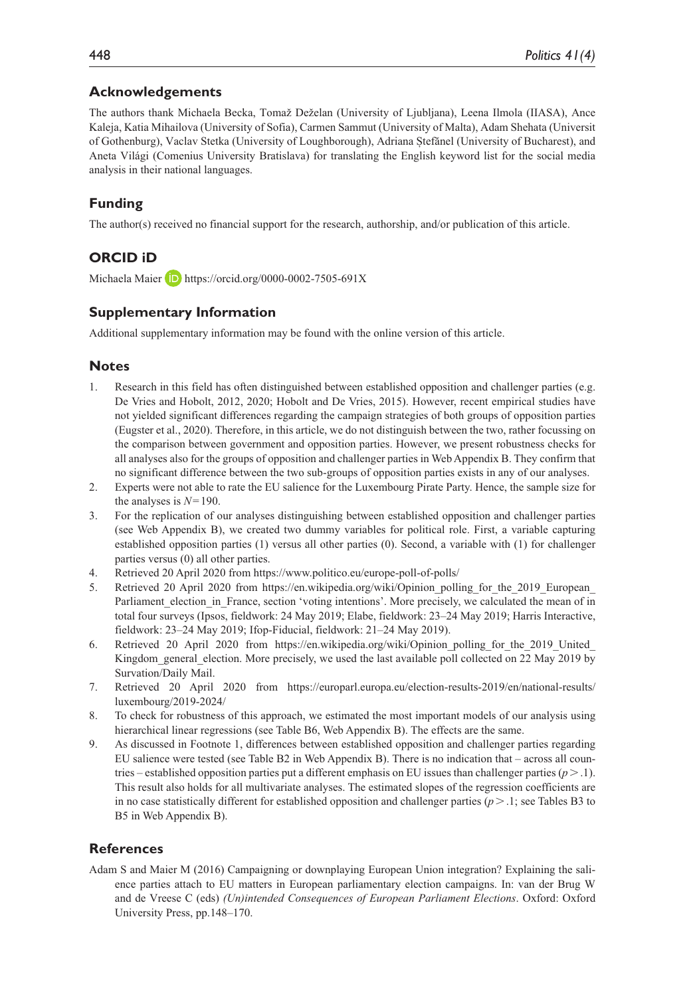## **Acknowledgements**

The authors thank Michaela Becka, Tomaž Deželan (University of Ljubljana), Leena Ilmola (IIASA), Ance Kaleja, Katia Mihailova (University of Sofia), Carmen Sammut (University of Malta), Adam Shehata (Universit of Gothenburg), Vaclav Stetka (University of Loughborough), Adriana Ștefănel (University of Bucharest), and Aneta Világi (Comenius University Bratislava) for translating the English keyword list for the social media analysis in their national languages.

## **Funding**

The author(s) received no financial support for the research, authorship, and/or publication of this article.

## **ORCID iD**

Michaela Maier **D** <https://orcid.org/0000-0002-7505-691X>

## **Supplementary Information**

Additional supplementary information may be found with the online version of this article.

## **Notes**

- 1. Research in this field has often distinguished between established opposition and challenger parties (e.g. De Vries and Hobolt, 2012, 2020; Hobolt and De Vries, 2015). However, recent empirical studies have not yielded significant differences regarding the campaign strategies of both groups of opposition parties (Eugster et al., 2020). Therefore, in this article, we do not distinguish between the two, rather focussing on the comparison between government and opposition parties. However, we present robustness checks for all analyses also for the groups of opposition and challenger parties in Web Appendix B. They confirm that no significant difference between the two sub-groups of opposition parties exists in any of our analyses.
- 2. Experts were not able to rate the EU salience for the Luxembourg Pirate Party. Hence, the sample size for the analyses is *N*=190.
- 3. For the replication of our analyses distinguishing between established opposition and challenger parties (see Web Appendix B), we created two dummy variables for political role. First, a variable capturing established opposition parties (1) versus all other parties (0). Second, a variable with (1) for challenger parties versus (0) all other parties.
- 4. Retrieved 20 April 2020 from<https://www.politico.eu/europe-poll-of-polls/>
- 5. Retrieved 20 April 2020 from https://en.wikipedia.org/wiki/Opinion polling for the 2019 European Parliament election in France, section 'voting intentions'. More precisely, we calculated the mean of in total four surveys (Ipsos, fieldwork: 24 May 2019; Elabe, fieldwork: 23–24 May 2019; Harris Interactive, fieldwork: 23–24 May 2019; Ifop-Fiducial, fieldwork: 21–24 May 2019).
- 6. Retrieved 20 April 2020 from https://en.wikipedia.org/wiki/Opinion polling for the 2019 United Kingdom general election. More precisely, we used the last available poll collected on 22 May 2019 by Survation/Daily Mail.
- 7. Retrieved 20 April 2020 from [https://europarl.europa.eu/election-results-2019/en/national-results/](https://europarl.europa.eu/election-results-2019/en/national-results/luxembourg/2019-2024/) [luxembourg/2019-2024/](https://europarl.europa.eu/election-results-2019/en/national-results/luxembourg/2019-2024/)
- 8. To check for robustness of this approach, we estimated the most important models of our analysis using hierarchical linear regressions (see Table B6, Web Appendix B). The effects are the same.
- 9. As discussed in Footnote 1, differences between established opposition and challenger parties regarding EU salience were tested (see Table B2 in Web Appendix B). There is no indication that – across all countries – established opposition parties put a different emphasis on EU issues than challenger parties  $(p > 1)$ . This result also holds for all multivariate analyses. The estimated slopes of the regression coefficients are in no case statistically different for established opposition and challenger parties  $(p > 0.1)$ ; see Tables B3 to B5 in Web Appendix B).

#### **References**

Adam S and Maier M (2016) Campaigning or downplaying European Union integration? Explaining the salience parties attach to EU matters in European parliamentary election campaigns. In: van der Brug W and de Vreese C (eds) *(Un)intended Consequences of European Parliament Elections*. Oxford: Oxford University Press, pp.148–170.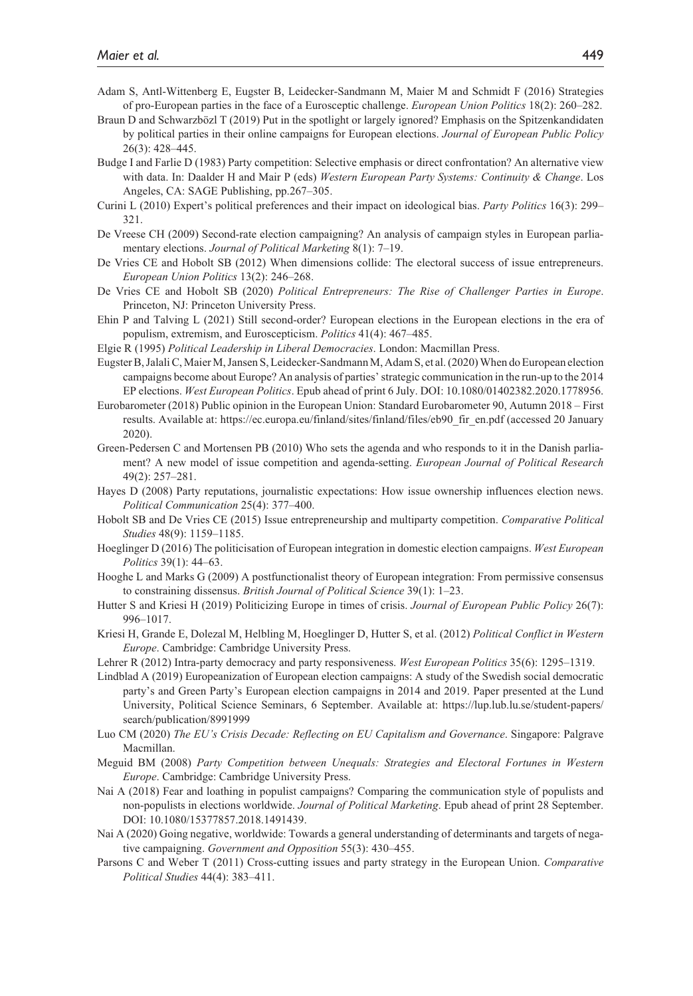- Adam S, Antl-Wittenberg E, Eugster B, Leidecker-Sandmann M, Maier M and Schmidt F (2016) Strategies of pro-European parties in the face of a Eurosceptic challenge. *European Union Politics* 18(2): 260–282.
- Braun D and Schwarzbözl T (2019) Put in the spotlight or largely ignored? Emphasis on the Spitzenkandidaten by political parties in their online campaigns for European elections. *Journal of European Public Policy* 26(3): 428–445.
- Budge I and Farlie D (1983) Party competition: Selective emphasis or direct confrontation? An alternative view with data. In: Daalder H and Mair P (eds) *Western European Party Systems: Continuity & Change*. Los Angeles, CA: SAGE Publishing, pp.267–305.
- Curini L (2010) Expert's political preferences and their impact on ideological bias. *Party Politics* 16(3): 299– 321.
- De Vreese CH (2009) Second-rate election campaigning? An analysis of campaign styles in European parliamentary elections. *Journal of Political Marketing* 8(1): 7–19.
- De Vries CE and Hobolt SB (2012) When dimensions collide: The electoral success of issue entrepreneurs. *European Union Politics* 13(2): 246–268.
- De Vries CE and Hobolt SB (2020) *Political Entrepreneurs: The Rise of Challenger Parties in Europe*. Princeton, NJ: Princeton University Press.
- Ehin P and Talving L (2021) Still second-order? European elections in the European elections in the era of populism, extremism, and Euroscepticism. *Politics* 41(4): 467–485.
- Elgie R (1995) *Political Leadership in Liberal Democracies*. London: Macmillan Press.
- Eugster B, Jalali C, Maier M, Jansen S, Leidecker-Sandmann M, Adam S, et al. (2020) When do European election campaigns become about Europe? An analysis of parties' strategic communication in the run-up to the 2014 EP elections. *West European Politics*. Epub ahead of print 6 July. DOI: 10.1080/01402382.2020.1778956.
- Eurobarometer (2018) Public opinion in the European Union: Standard Eurobarometer 90, Autumn 2018 First results. Available at: [https://ec.europa.eu/finland/sites/finland/files/eb90\\_fir\\_en.pdf](https://ec.europa.eu/finland/sites/finland/files/eb90_fir_en.pdf) (accessed 20 January 2020).
- Green-Pedersen C and Mortensen PB (2010) Who sets the agenda and who responds to it in the Danish parliament? A new model of issue competition and agenda-setting. *European Journal of Political Research* 49(2): 257–281.
- Hayes D (2008) Party reputations, journalistic expectations: How issue ownership influences election news. *Political Communication* 25(4): 377–400.
- Hobolt SB and De Vries CE (2015) Issue entrepreneurship and multiparty competition. *Comparative Political Studies* 48(9): 1159–1185.
- Hoeglinger D (2016) The politicisation of European integration in domestic election campaigns. *West European Politics* 39(1): 44–63.
- Hooghe L and Marks G (2009) A postfunctionalist theory of European integration: From permissive consensus to constraining dissensus. *British Journal of Political Science* 39(1): 1–23.
- Hutter S and Kriesi H (2019) Politicizing Europe in times of crisis. *Journal of European Public Policy* 26(7): 996–1017.
- Kriesi H, Grande E, Dolezal M, Helbling M, Hoeglinger D, Hutter S, et al. (2012) *Political Conflict in Western Europe*. Cambridge: Cambridge University Press.
- Lehrer R (2012) Intra-party democracy and party responsiveness. *West European Politics* 35(6): 1295–1319.
- Lindblad A (2019) Europeanization of European election campaigns: A study of the Swedish social democratic party's and Green Party's European election campaigns in 2014 and 2019. Paper presented at the Lund University, Political Science Seminars, 6 September. Available at: [https://lup.lub.lu.se/student-papers/](https://lup.lub.lu.se/student-papers/search/publication/8991999) [search/publication/8991999](https://lup.lub.lu.se/student-papers/search/publication/8991999)
- Luo CM (2020) *The EU's Crisis Decade: Reflecting on EU Capitalism and Governance*. Singapore: Palgrave Macmillan.
- Meguid BM (2008) *Party Competition between Unequals: Strategies and Electoral Fortunes in Western Europe*. Cambridge: Cambridge University Press.
- Nai A (2018) Fear and loathing in populist campaigns? Comparing the communication style of populists and non-populists in elections worldwide. *Journal of Political Marketing*. Epub ahead of print 28 September. DOI: 10.1080/15377857.2018.1491439.
- Nai A (2020) Going negative, worldwide: Towards a general understanding of determinants and targets of negative campaigning. *Government and Opposition* 55(3): 430–455.
- Parsons C and Weber T (2011) Cross-cutting issues and party strategy in the European Union. *Comparative Political Studies* 44(4): 383–411.